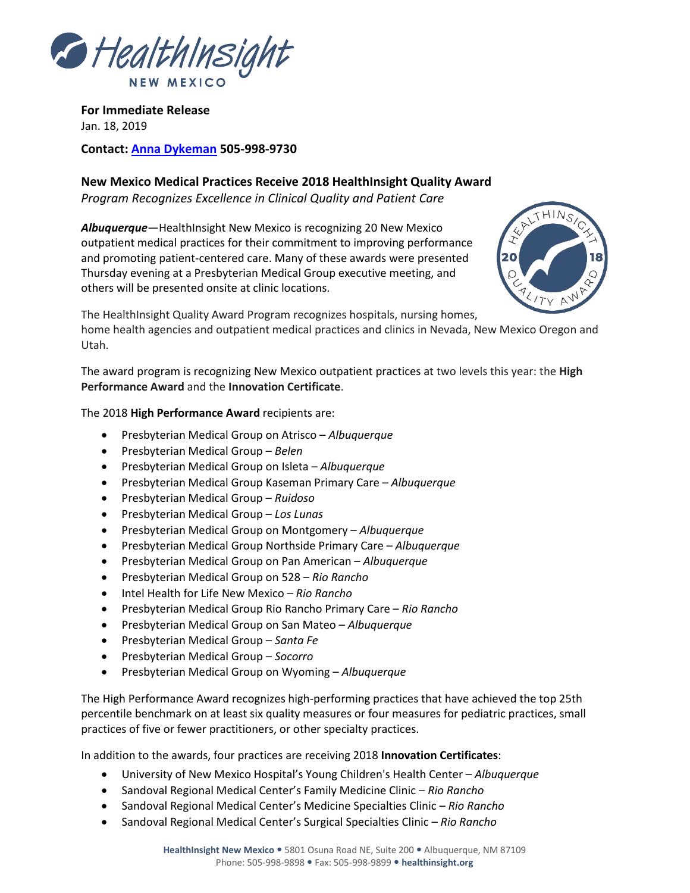

**For Immediate Release** Jan. 18, 2019

**Contact: [Anna Dykeman](mailto:adykeman@healthinsight.org) 505-998-9730**

**New Mexico Medical Practices Receive 2018 HealthInsight Quality Award** *Program Recognizes Excellence in Clinical Quality and Patient Care*

*Albuquerque*—HealthInsight New Mexico is recognizing 20 New Mexico outpatient medical practices for their commitment to improving performance and promoting patient-centered care. Many of these awards were presented Thursday evening at a Presbyterian Medical Group executive meeting, and others will be presented onsite at clinic locations.



The HealthInsight Quality Award Program recognizes hospitals, nursing homes,

home health agencies and outpatient medical practices and clinics in Nevada, New Mexico Oregon and Utah.

The award program is recognizing New Mexico outpatient practices at two levels this year: the **High Performance Award** and the **Innovation Certificate**.

The 2018 **High Performance Award** recipients are:

- Presbyterian Medical Group on Atrisco *Albuquerque*
- Presbyterian Medical Group *Belen*
- Presbyterian Medical Group on Isleta *Albuquerque*
- Presbyterian Medical Group Kaseman Primary Care *Albuquerque*
- Presbyterian Medical Group *Ruidoso*
- Presbyterian Medical Group *Los Lunas*
- Presbyterian Medical Group on Montgomery *Albuquerque*
- Presbyterian Medical Group Northside Primary Care *Albuquerque*
- Presbyterian Medical Group on Pan American *Albuquerque*
- Presbyterian Medical Group on 528 *Rio Rancho*
- Intel Health for Life New Mexico *Rio Rancho*
- Presbyterian Medical Group Rio Rancho Primary Care *Rio Rancho*
- Presbyterian Medical Group on San Mateo *Albuquerque*
- Presbyterian Medical Group *Santa Fe*
- Presbyterian Medical Group *Socorro*
- Presbyterian Medical Group on Wyoming *Albuquerque*

The High Performance Award recognizes high-performing practices that have achieved the top 25th percentile benchmark on at least six quality measures or four measures for pediatric practices, small practices of five or fewer practitioners, or other specialty practices.

In addition to the awards, four practices are receiving 2018 **Innovation Certificates**:

- University of New Mexico Hospital's Young Children's Health Center *Albuquerque*
- Sandoval Regional Medical Center's Family Medicine Clinic *Rio Rancho*
- Sandoval Regional Medical Center's Medicine Specialties Clinic *Rio Rancho*
- Sandoval Regional Medical Center's Surgical Specialties Clinic *Rio Rancho*